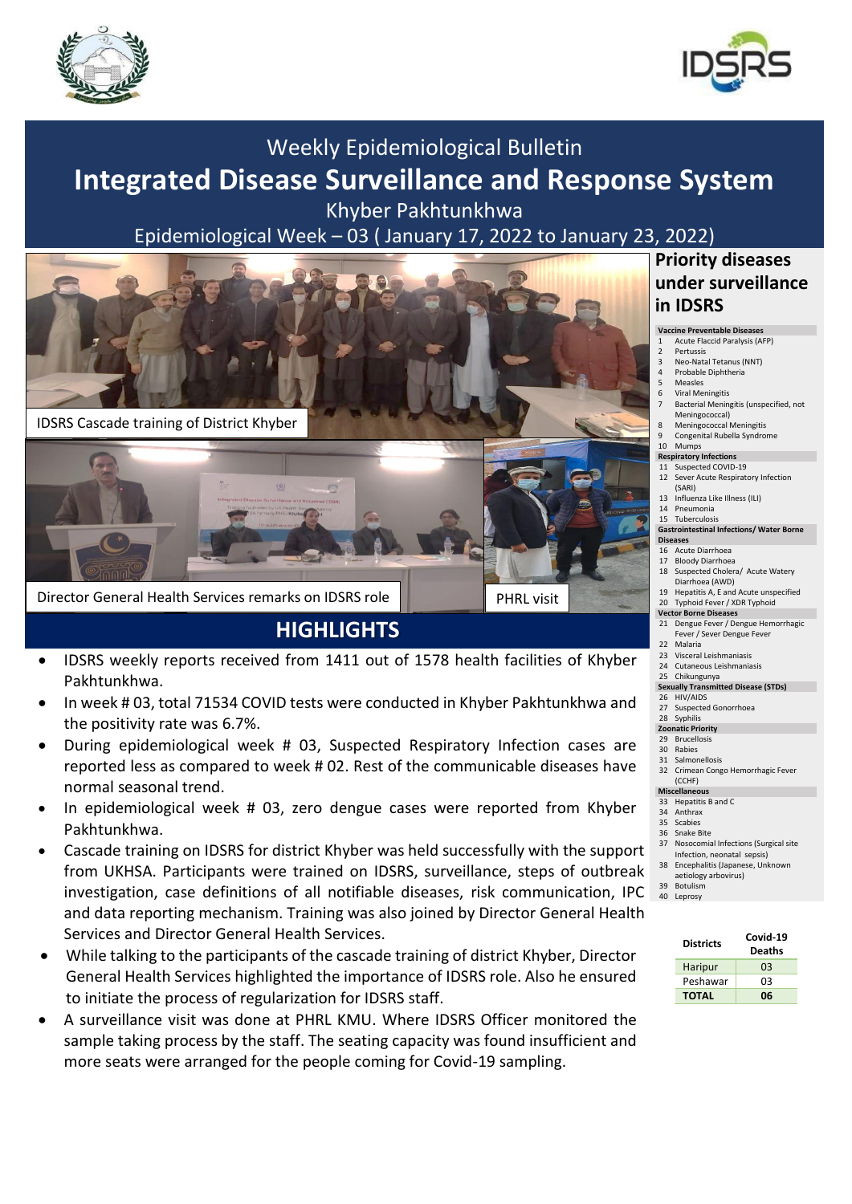



# Weekly Epidemiological Bulletin **Integrated Disease Surveillance and Response System**

Khyber Pakhtunkhwa

Epidemiological Week – 03 ( January 17, 2022 to January 23, 2022)



## **HIGHLIGHTS**

- IDSRS weekly reports received from 1411 out of 1578 health facilities of Khyber Pakhtunkhwa.
- In week # 03, total 71534 COVID tests were conducted in Khyber Pakhtunkhwa and the positivity rate was 6.7%.
- During epidemiological week # 03, Suspected Respiratory Infection cases are reported less as compared to week # 02. Rest of the communicable diseases have normal seasonal trend.
- In epidemiological week # 03, zero dengue cases were reported from Khyber Pakhtunkhwa.
- Cascade training on IDSRS for district Khyber was held successfully with the support from UKHSA. Participants were trained on IDSRS, surveillance, steps of outbreak investigation, case definitions of all notifiable diseases, risk communication, IPC and data reporting mechanism. Training was also joined by Director General Health Services and Director General Health Services.
- While talking to the participants of the cascade training of district Khyber, Director General Health Services highlighted the importance of IDSRS role. Also he ensured to initiate the process of regularization for IDSRS staff.
- A surveillance visit was done at PHRL KMU. Where IDSRS Officer monitored the sample taking process by the staff. The seating capacity was found insufficient and more seats were arranged for the people coming for Covid-19 sampling.

### **Priority diseases under surveillance in IDSRS**

#### **Vaccine Preventable Diseases**

- 1 Acute Flaccid Paralysis (AFP) 2 Pertussis
- 3 Neo-Natal Tetanus (NNT)<br>4 Probable Diphtheria
- 4 Probable Diphtheria<br>5 Measles **Measles**
- 6 Viral Meningitis
- 7 Bacterial Meningitis (unspecified, not Meningococcal)
- 8 Meningococcal Meningitis
- 9 Congenital Rubella Syndrome 10 Mumps

### **Respiratory Infections**

- 11 Suspected COVID-19
- 12 Sever Acute Respiratory Infection (SARI) 13 Influenza Like Illness (ILI)
- 14 Pneumonia
- 15 Tuberculosis

#### **Gastrointestinal Infections/ Water Borne Diseases**

#### 16 Acute Diarrhoea

- 17 Bloody Diarrhoea
- 18 Suspected Cholera/ Acute Watery Diarrhoea (AWD)
- 19 Hepatitis A, E and Acute unspecified 20 Typhoid Fever / XDR Typhoid
- **Vector Borne Diseases**
- 21 Dengue Fever / Dengue Hemorrhagic Fever / Sever Dengue Fever 22 Malaria
- 
- 23 Visceral Leishmaniasis<br>24 Cutaneous Leishmania Cutaneous Leishmaniasis
- 25 Chikungunya **Sexually Transmitted Disease (STDs)**
- 26 HIV/AIDS
- 27 Suspected Gonorrhoea
- 28 Syphilis
- **Zoonatic Priority**
- 29 Brucellosis 30 Rabies
- 
- 31 Salmonellosis<br>32 Crimean Cong 32 Crimean Congo Hemorrhagic Fever  $(CCHF)$

#### **Miscellaneous**

- 33 Hepatitis B and C 34 Anthrax
- 35 Scabies
- 36 Snake Bite
- 37 Nosocomial Infections (Surgical site
- Infection, neonatal sepsis) 38 Encephalitis (Japanese, Unknown
- aetiology arbovirus)
- 39 Botulism 40 Leprosy

| <b>Districts</b> | Covid-19<br><b>Deaths</b> |
|------------------|---------------------------|
| Haripur          | OЗ                        |
| Peshawar         | nз                        |
| <b>TOTAL</b>     | 06                        |